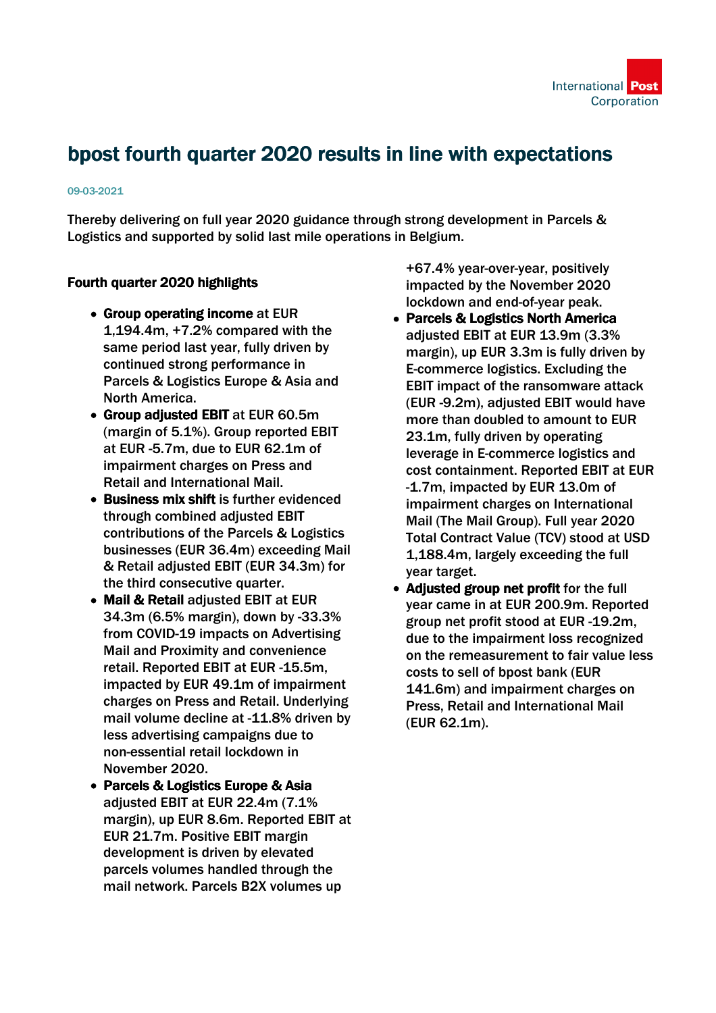# bpost fourth quarter 2020 results in line with expectations

#### 09-03-2021

Thereby delivering on full year 2020 guidance through strong development in Parcels & Logistics and supported by solid last mile operations in Belgium.

# Fourth quarter 2020 highlights

- Group operating income at EUR 1,194.4m, +7.2% compared with the same period last year, fully driven by continued strong performance in Parcels & Logistics Europe & Asia and North America.
- Group adjusted EBIT at EUR 60.5m (margin of 5.1%). Group reported EBIT at EUR -5.7m, due to EUR 62.1m of impairment charges on Press and Retail and International Mail.
- Business mix shift is further evidenced through combined adjusted EBIT contributions of the Parcels & Logistics businesses (EUR 36.4m) exceeding Mail & Retail adjusted EBIT (EUR 34.3m) for the third consecutive quarter.
- Mail & Retail adiusted EBIT at EUR 34.3m (6.5% margin), down by -33.3% from COVID-19 impacts on Advertising Mail and Proximity and convenience retail. Reported EBIT at EUR -15.5m, impacted by EUR 49.1m of impairment charges on Press and Retail. Underlying mail volume decline at -11.8% driven by less advertising campaigns due to non-essential retail lockdown in November 2020.
- Parcels & Logistics Europe & Asia adjusted EBIT at EUR 22.4m (7.1% margin), up EUR 8.6m. Reported EBIT at EUR 21.7m. Positive EBIT margin development is driven by elevated parcels volumes handled through the mail network. Parcels B2X volumes up

+67.4% year-over-year, positively impacted by the November 2020 lockdown and end-of-year peak.

- Parcels & Logistics North America adjusted EBIT at EUR 13.9m (3.3% margin), up EUR 3.3m is fully driven by E-commerce logistics. Excluding the EBIT impact of the ransomware attack (EUR -9.2m), adjusted EBIT would have more than doubled to amount to EUR 23.1m, fully driven by operating leverage in E-commerce logistics and cost containment. Reported EBIT at EUR -1.7m, impacted by EUR 13.0m of impairment charges on International Mail (The Mail Group). Full year 2020 Total Contract Value (TCV) stood at USD 1,188.4m, largely exceeding the full year target.
- Adjusted group net profit for the full year came in at EUR 200.9m. Reported group net profit stood at EUR -19.2m, due to the impairment loss recognized on the remeasurement to fair value less costs to sell of bpost bank (EUR 141.6m) and impairment charges on Press, Retail and International Mail (EUR 62.1m).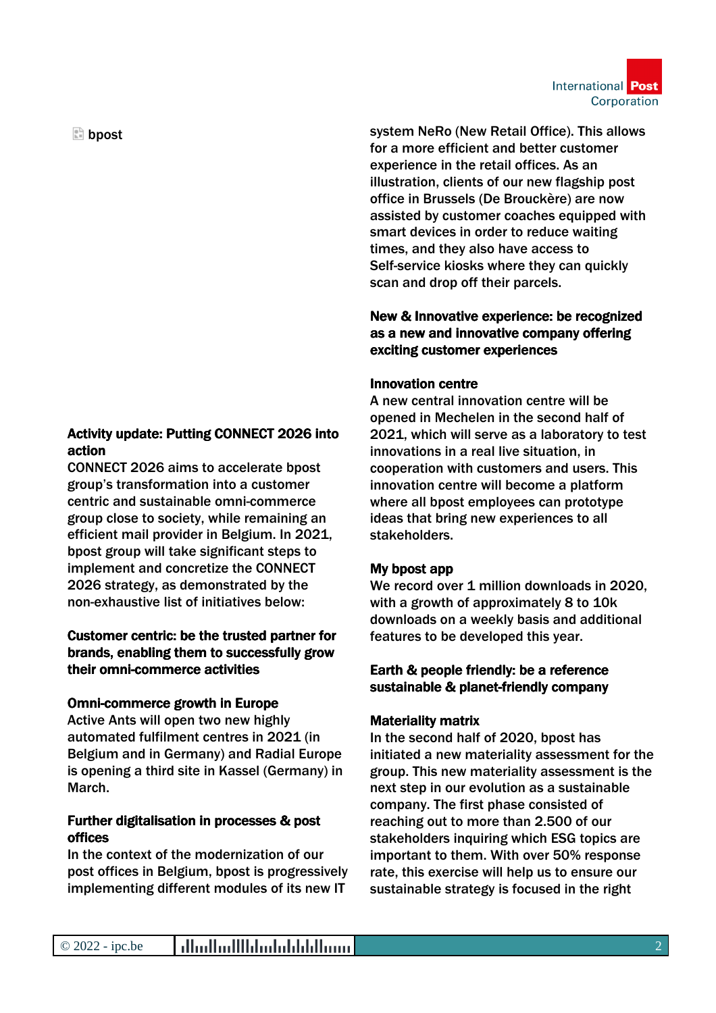International Post Corporation

 $\mathbb{E}$  bpost

# Activity update: Putting CONNECT 2026 into action

CONNECT 2026 aims to accelerate bpost group's transformation into a customer centric and sustainable omni-commerce group close to society, while remaining an efficient mail provider in Belgium. In 2021, bpost group will take significant steps to implement and concretize the CONNECT 2026 strategy, as demonstrated by the non-exhaustive list of initiatives below:

# Customer centric: be the trusted partner for brands, enabling them to successfully grow their omni-commerce activities

#### Omni-commerce growth in Europe

Active Ants will open two new highly automated fulfilment centres in 2021 (in Belgium and in Germany) and Radial Europe is opening a third site in Kassel (Germany) in March.

#### Further digitalisation in processes & post offices

In the context of the modernization of our post offices in Belgium, bpost is progressively implementing different modules of its new IT

system NeRo (New Retail Office). This allows for a more efficient and better customer experience in the retail offices. As an illustration, clients of our new flagship post office in Brussels (De Brouckère) are now assisted by customer coaches equipped with smart devices in order to reduce waiting times, and they also have access to Self-service kiosks where they can quickly scan and drop off their parcels.

# New & Innovative experience: be recognized as a new and innovative company offering exciting customer experiences

# Innovation centre

A new central innovation centre will be opened in Mechelen in the second half of 2021, which will serve as a laboratory to test innovations in a real live situation, in cooperation with customers and users. This innovation centre will become a platform where all bpost employees can prototype ideas that bring new experiences to all stakeholders.

# My bpost app

We record over 1 million downloads in 2020, with a growth of approximately 8 to 10k downloads on a weekly basis and additional features to be developed this year.

# Earth & people friendly: be a reference sustainable & planet-friendly company

#### Materiality matrix

In the second half of 2020, bpost has initiated a new materiality assessment for the group. This new materiality assessment is the next step in our evolution as a sustainable company. The first phase consisted of reaching out to more than 2.500 of our stakeholders inquiring which ESG topics are important to them. With over 50% response rate, this exercise will help us to ensure our sustainable strategy is focused in the right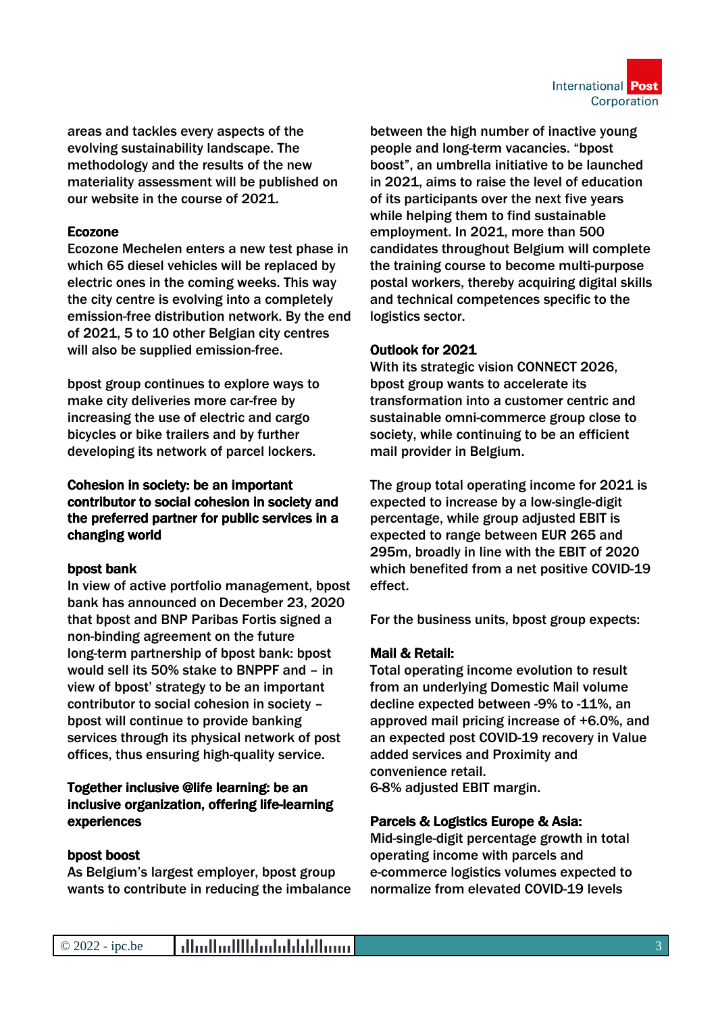

areas and tackles every aspects of the evolving sustainability landscape. The methodology and the results of the new materiality assessment will be published on our website in the course of 2021.

# Ecozone

Ecozone Mechelen enters a new test phase in which 65 diesel vehicles will be replaced by electric ones in the coming weeks. This way the city centre is evolving into a completely emission-free distribution network. By the end of 2021, 5 to 10 other Belgian city centres will also be supplied emission-free.

bpost group continues to explore ways to make city deliveries more car-free by increasing the use of electric and cargo bicycles or bike trailers and by further developing its network of parcel lockers.

# Cohesion in society: be an important contributor to social cohesion in society and the preferred partner for public services in a changing world

# bpost bank

In view of active portfolio management, bpost bank has announced on December 23, 2020 that bpost and BNP Paribas Fortis signed a non-binding agreement on the future long-term partnership of bpost bank: bpost would sell its 50% stake to BNPPF and – in view of bpost' strategy to be an important contributor to social cohesion in society – bpost will continue to provide banking services through its physical network of post offices, thus ensuring high-quality service.

# Together inclusive @life learning: be an inclusive organization, offering life-learning experiences

#### bpost boost

As Belgium's largest employer, bpost group wants to contribute in reducing the imbalance between the high number of inactive young people and long-term vacancies. "bpost boost", an umbrella initiative to be launched in 2021, aims to raise the level of education of its participants over the next five years while helping them to find sustainable employment. In 2021, more than 500 candidates throughout Belgium will complete the training course to become multi-purpose postal workers, thereby acquiring digital skills and technical competences specific to the logistics sector.

# Outlook for 2021

With its strategic vision CONNECT 2026, bpost group wants to accelerate its transformation into a customer centric and sustainable omni-commerce group close to society, while continuing to be an efficient mail provider in Belgium.

The group total operating income for 2021 is expected to increase by a low-single-digit percentage, while group adjusted EBIT is expected to range between EUR 265 and 295m, broadly in line with the EBIT of 2020 which benefited from a net positive COVID-19 effect.

For the business units, bpost group expects:

#### Mail & Retail:

Total operating income evolution to result from an underlying Domestic Mail volume decline expected between -9% to -11%, an approved mail pricing increase of +6.0%, and an expected post COVID-19 recovery in Value added services and Proximity and convenience retail. 6-8% adjusted EBIT margin.

Parcels & Logistics Europe & Asia:

Mid-single-digit percentage growth in total operating income with parcels and e-commerce logistics volumes expected to normalize from elevated COVID-19 levels